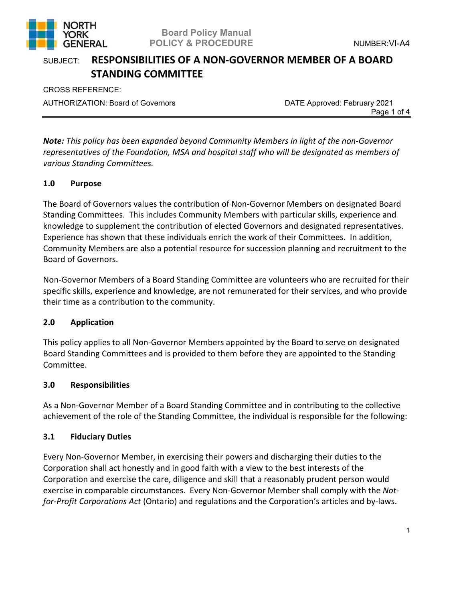

CROSS REFERENCE: AUTHORIZATION: Board of Governors **DATE Approved: February 2021** 

Page 1 of 4

*Note: This policy has been expanded beyond Community Members in light of the non-Governor representatives of the Foundation, MSA and hospital staff who will be designated as members of various Standing Committees.*

### **1.0 Purpose**

The Board of Governors values the contribution of Non-Governor Members on designated Board Standing Committees. This includes Community Members with particular skills, experience and knowledge to supplement the contribution of elected Governors and designated representatives. Experience has shown that these individuals enrich the work of their Committees. In addition, Community Members are also a potential resource for succession planning and recruitment to the Board of Governors.

Non-Governor Members of a Board Standing Committee are volunteers who are recruited for their specific skills, experience and knowledge, are not remunerated for their services, and who provide their time as a contribution to the community.

#### **2.0 Application**

This policy applies to all Non-Governor Members appointed by the Board to serve on designated Board Standing Committees and is provided to them before they are appointed to the Standing Committee.

#### **3.0 Responsibilities**

As a Non-Governor Member of a Board Standing Committee and in contributing to the collective achievement of the role of the Standing Committee, the individual is responsible for the following:

#### **3.1 Fiduciary Duties**

Every Non-Governor Member, in exercising their powers and discharging their duties to the Corporation shall act honestly and in good faith with a view to the best interests of the Corporation and exercise the care, diligence and skill that a reasonably prudent person would exercise in comparable circumstances. Every Non-Governor Member shall comply with the *Notfor-Profit Corporations Act* (Ontario) and regulations and the Corporation's articles and by-laws.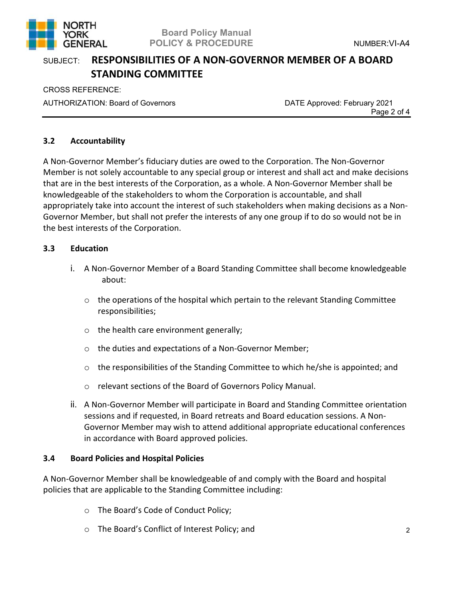

CROSS REFERENCE: AUTHORIZATION: Board of Governors **DATE Approved: February 2021** 

Page 2 of 4

### **3.2 Accountability**

A Non-Governor Member's fiduciary duties are owed to the Corporation. The Non-Governor Member is not solely accountable to any special group or interest and shall act and make decisions that are in the best interests of the Corporation, as a whole. A Non-Governor Member shall be knowledgeable of the stakeholders to whom the Corporation is accountable, and shall appropriately take into account the interest of such stakeholders when making decisions as a Non-Governor Member, but shall not prefer the interests of any one group if to do so would not be in the best interests of the Corporation.

#### **3.3 Education**

- i. A Non-Governor Member of a Board Standing Committee shall become knowledgeable about:
	- $\circ$  the operations of the hospital which pertain to the relevant Standing Committee responsibilities;
	- o the health care environment generally;
	- o the duties and expectations of a Non-Governor Member;
	- $\circ$  the responsibilities of the Standing Committee to which he/she is appointed; and
	- o relevant sections of the Board of Governors Policy Manual.
- ii. A Non-Governor Member will participate in Board and Standing Committee orientation sessions and if requested, in Board retreats and Board education sessions. A Non-Governor Member may wish to attend additional appropriate educational conferences in accordance with Board approved policies.

#### **3.4 Board Policies and Hospital Policies**

A Non-Governor Member shall be knowledgeable of and comply with the Board and hospital policies that are applicable to the Standing Committee including:

- o The Board's Code of Conduct Policy;
- o The Board's Conflict of Interest Policy; and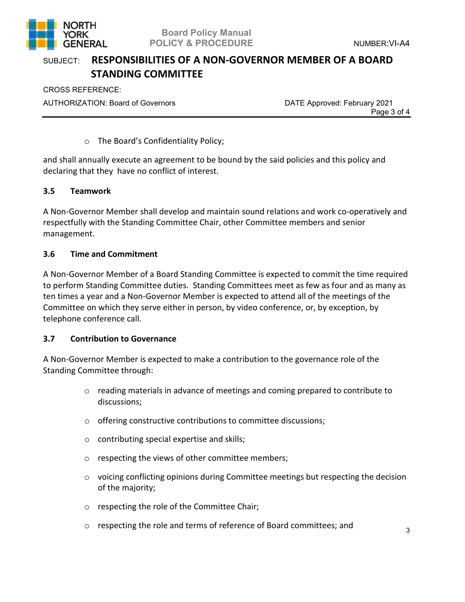

CROSS REFERENCE: AUTHORIZATION: Board of Governors **DATE Approved: February 2021** 

Page 3 of 4

#### o The Board's Confidentiality Policy;

and shall annually execute an agreement to be bound by the said policies and this policy and declaring that they have no conflict of interest.

#### **3.5 Teamwork**

A Non-Governor Member shall develop and maintain sound relations and work co-operatively and respectfully with the Standing Committee Chair, other Committee members and senior management.

### **3.6 Time and Commitment**

A Non-Governor Member of a Board Standing Committee is expected to commit the time required to perform Standing Committee duties. Standing Committees meet as few as four and as many as ten times a year and a Non-Governor Member is expected to attend all of the meetings of the Committee on which they serve either in person, by video conference, or, by exception, by telephone conference call.

#### **3.7 Contribution to Governance**

A Non-Governor Member is expected to make a contribution to the governance role of the Standing Committee through:

- $\circ$  reading materials in advance of meetings and coming prepared to contribute to discussions;
- o offering constructive contributions to committee discussions;
- $\circ$  contributing special expertise and skills;
- o respecting the views of other committee members;
- o voicing conflicting opinions during Committee meetings but respecting the decision of the majority;
- o respecting the role of the Committee Chair;
- o respecting the role and terms of reference of Board committees; and